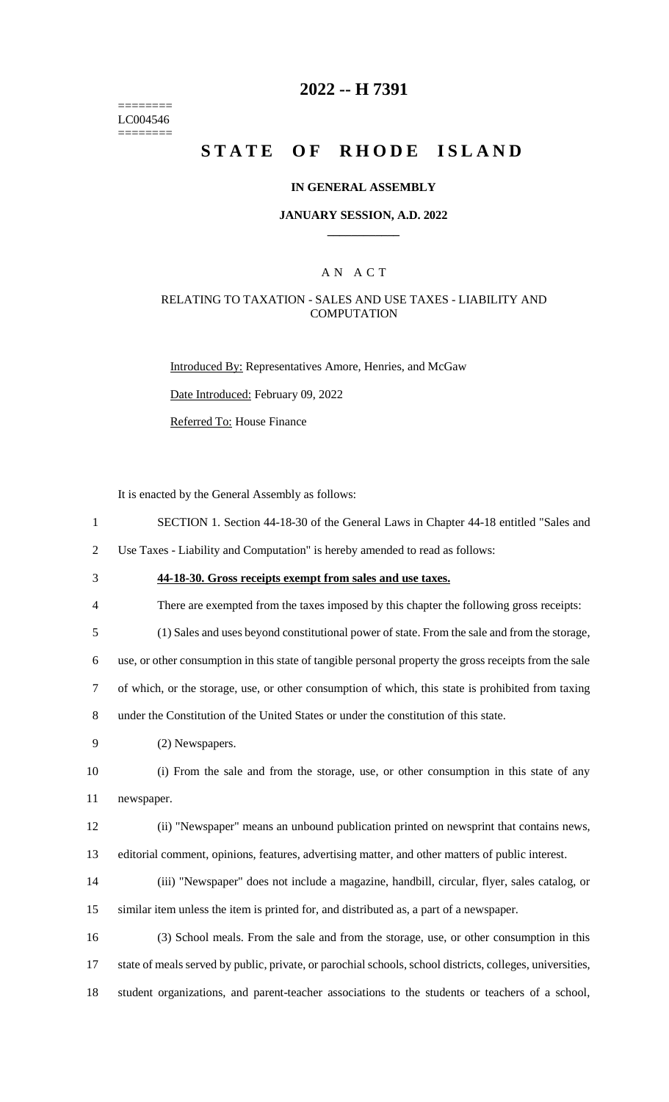======== LC004546 ========

### **2022 -- H 7391**

# **STATE OF RHODE ISLAND**

#### **IN GENERAL ASSEMBLY**

#### **JANUARY SESSION, A.D. 2022 \_\_\_\_\_\_\_\_\_\_\_\_**

### A N A C T

#### RELATING TO TAXATION - SALES AND USE TAXES - LIABILITY AND **COMPUTATION**

Introduced By: Representatives Amore, Henries, and McGaw

Date Introduced: February 09, 2022

Referred To: House Finance

It is enacted by the General Assembly as follows:

1 SECTION 1. Section 44-18-30 of the General Laws in Chapter 44-18 entitled "Sales and

2 Use Taxes - Liability and Computation" is hereby amended to read as follows:

- 3 **44-18-30. Gross receipts exempt from sales and use taxes.**
- 4 There are exempted from the taxes imposed by this chapter the following gross receipts:

5 (1) Sales and uses beyond constitutional power of state. From the sale and from the storage,

6 use, or other consumption in this state of tangible personal property the gross receipts from the sale

7 of which, or the storage, use, or other consumption of which, this state is prohibited from taxing

8 under the Constitution of the United States or under the constitution of this state.

9 (2) Newspapers.

10 (i) From the sale and from the storage, use, or other consumption in this state of any 11 newspaper.

12 (ii) "Newspaper" means an unbound publication printed on newsprint that contains news, 13 editorial comment, opinions, features, advertising matter, and other matters of public interest.

14 (iii) "Newspaper" does not include a magazine, handbill, circular, flyer, sales catalog, or 15 similar item unless the item is printed for, and distributed as, a part of a newspaper.

16 (3) School meals. From the sale and from the storage, use, or other consumption in this 17 state of meals served by public, private, or parochial schools, school districts, colleges, universities, 18 student organizations, and parent-teacher associations to the students or teachers of a school,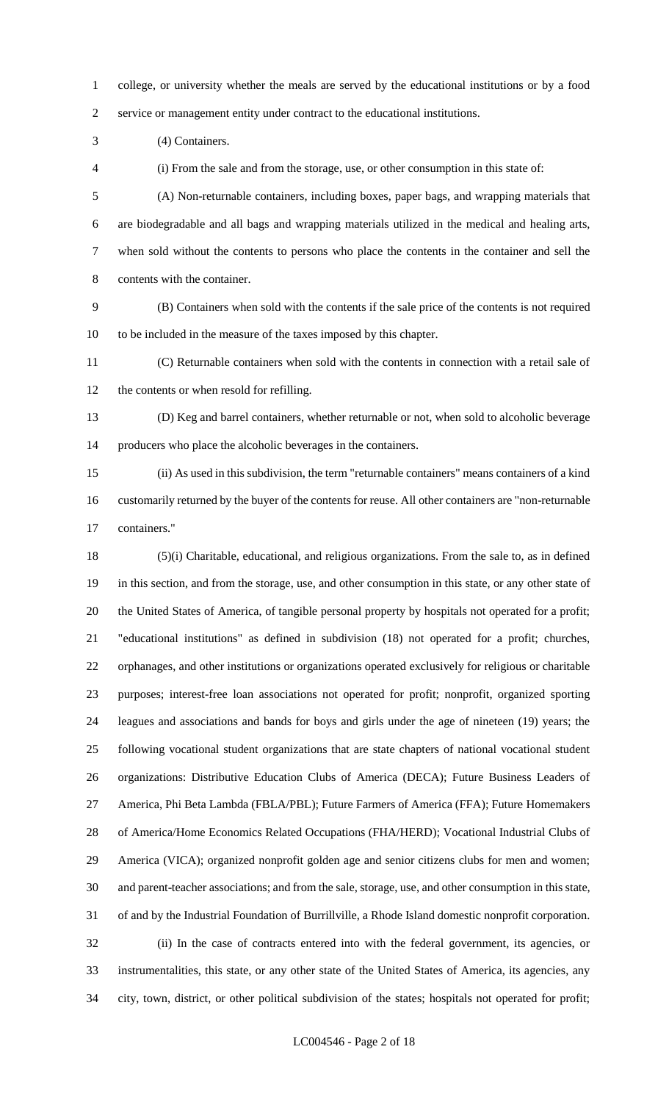college, or university whether the meals are served by the educational institutions or by a food service or management entity under contract to the educational institutions.

(4) Containers.

(i) From the sale and from the storage, use, or other consumption in this state of:

 (A) Non-returnable containers, including boxes, paper bags, and wrapping materials that are biodegradable and all bags and wrapping materials utilized in the medical and healing arts, when sold without the contents to persons who place the contents in the container and sell the contents with the container.

 (B) Containers when sold with the contents if the sale price of the contents is not required to be included in the measure of the taxes imposed by this chapter.

 (C) Returnable containers when sold with the contents in connection with a retail sale of the contents or when resold for refilling.

 (D) Keg and barrel containers, whether returnable or not, when sold to alcoholic beverage producers who place the alcoholic beverages in the containers.

 (ii) As used in this subdivision, the term "returnable containers" means containers of a kind customarily returned by the buyer of the contents for reuse. All other containers are "non-returnable containers."

 (5)(i) Charitable, educational, and religious organizations. From the sale to, as in defined in this section, and from the storage, use, and other consumption in this state, or any other state of the United States of America, of tangible personal property by hospitals not operated for a profit; "educational institutions" as defined in subdivision (18) not operated for a profit; churches, orphanages, and other institutions or organizations operated exclusively for religious or charitable purposes; interest-free loan associations not operated for profit; nonprofit, organized sporting leagues and associations and bands for boys and girls under the age of nineteen (19) years; the following vocational student organizations that are state chapters of national vocational student organizations: Distributive Education Clubs of America (DECA); Future Business Leaders of America, Phi Beta Lambda (FBLA/PBL); Future Farmers of America (FFA); Future Homemakers of America/Home Economics Related Occupations (FHA/HERD); Vocational Industrial Clubs of America (VICA); organized nonprofit golden age and senior citizens clubs for men and women; and parent-teacher associations; and from the sale, storage, use, and other consumption in this state, of and by the Industrial Foundation of Burrillville, a Rhode Island domestic nonprofit corporation. (ii) In the case of contracts entered into with the federal government, its agencies, or instrumentalities, this state, or any other state of the United States of America, its agencies, any city, town, district, or other political subdivision of the states; hospitals not operated for profit;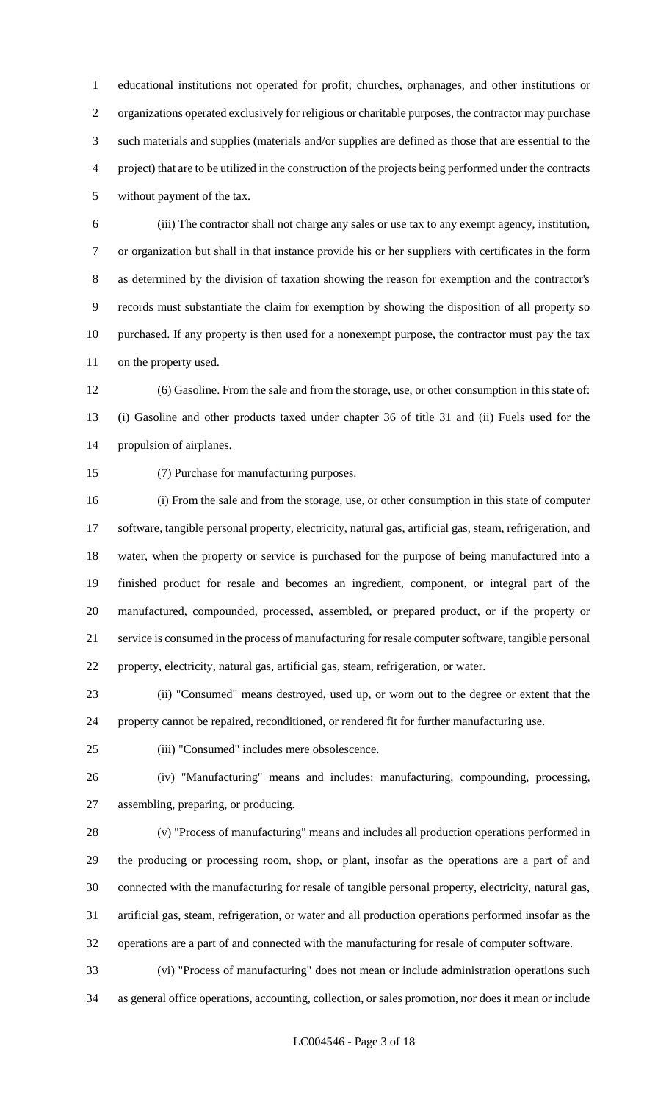educational institutions not operated for profit; churches, orphanages, and other institutions or organizations operated exclusively for religious or charitable purposes, the contractor may purchase such materials and supplies (materials and/or supplies are defined as those that are essential to the project) that are to be utilized in the construction of the projects being performed under the contracts without payment of the tax.

 (iii) The contractor shall not charge any sales or use tax to any exempt agency, institution, or organization but shall in that instance provide his or her suppliers with certificates in the form as determined by the division of taxation showing the reason for exemption and the contractor's records must substantiate the claim for exemption by showing the disposition of all property so purchased. If any property is then used for a nonexempt purpose, the contractor must pay the tax on the property used.

 (6) Gasoline. From the sale and from the storage, use, or other consumption in this state of: (i) Gasoline and other products taxed under chapter 36 of title 31 and (ii) Fuels used for the propulsion of airplanes.

(7) Purchase for manufacturing purposes.

 (i) From the sale and from the storage, use, or other consumption in this state of computer software, tangible personal property, electricity, natural gas, artificial gas, steam, refrigeration, and water, when the property or service is purchased for the purpose of being manufactured into a finished product for resale and becomes an ingredient, component, or integral part of the manufactured, compounded, processed, assembled, or prepared product, or if the property or service is consumed in the process of manufacturing for resale computer software, tangible personal property, electricity, natural gas, artificial gas, steam, refrigeration, or water.

 (ii) "Consumed" means destroyed, used up, or worn out to the degree or extent that the property cannot be repaired, reconditioned, or rendered fit for further manufacturing use.

(iii) "Consumed" includes mere obsolescence.

 (iv) "Manufacturing" means and includes: manufacturing, compounding, processing, assembling, preparing, or producing.

 (v) "Process of manufacturing" means and includes all production operations performed in the producing or processing room, shop, or plant, insofar as the operations are a part of and connected with the manufacturing for resale of tangible personal property, electricity, natural gas, artificial gas, steam, refrigeration, or water and all production operations performed insofar as the operations are a part of and connected with the manufacturing for resale of computer software.

 (vi) "Process of manufacturing" does not mean or include administration operations such as general office operations, accounting, collection, or sales promotion, nor does it mean or include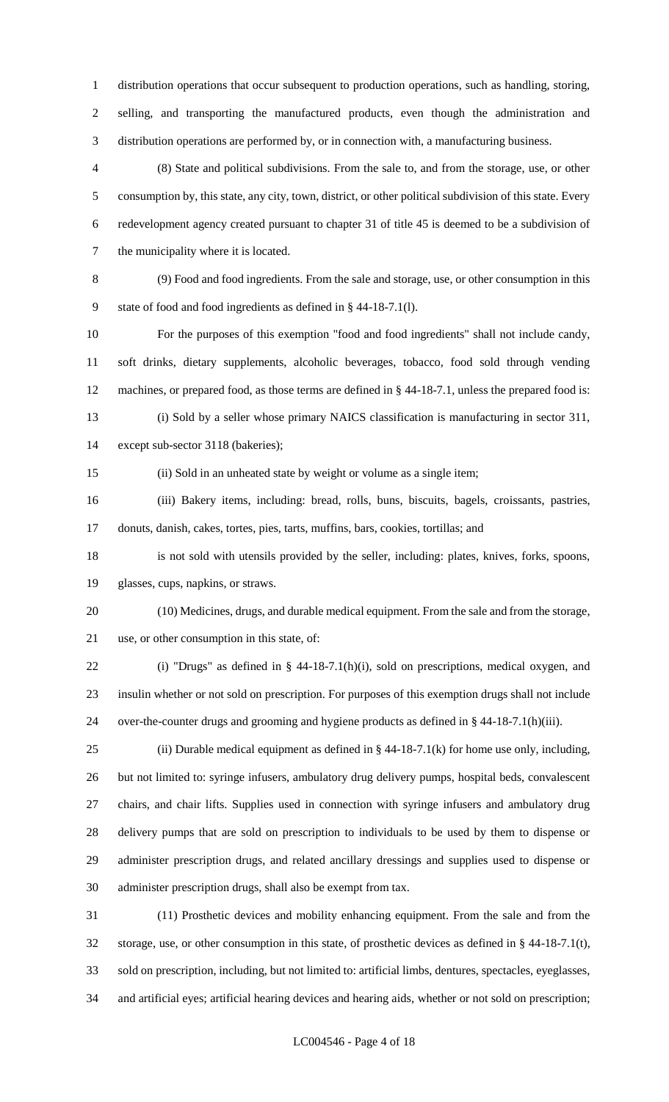distribution operations that occur subsequent to production operations, such as handling, storing, selling, and transporting the manufactured products, even though the administration and distribution operations are performed by, or in connection with, a manufacturing business.

 (8) State and political subdivisions. From the sale to, and from the storage, use, or other consumption by, this state, any city, town, district, or other political subdivision of this state. Every redevelopment agency created pursuant to chapter 31 of title 45 is deemed to be a subdivision of the municipality where it is located.

 (9) Food and food ingredients. From the sale and storage, use, or other consumption in this state of food and food ingredients as defined in § 44-18-7.1(l).

 For the purposes of this exemption "food and food ingredients" shall not include candy, soft drinks, dietary supplements, alcoholic beverages, tobacco, food sold through vending machines, or prepared food, as those terms are defined in § 44-18-7.1, unless the prepared food is: (i) Sold by a seller whose primary NAICS classification is manufacturing in sector 311,

except sub-sector 3118 (bakeries);

(ii) Sold in an unheated state by weight or volume as a single item;

 (iii) Bakery items, including: bread, rolls, buns, biscuits, bagels, croissants, pastries, donuts, danish, cakes, tortes, pies, tarts, muffins, bars, cookies, tortillas; and

 is not sold with utensils provided by the seller, including: plates, knives, forks, spoons, glasses, cups, napkins, or straws.

 (10) Medicines, drugs, and durable medical equipment. From the sale and from the storage, use, or other consumption in this state, of:

 (i) "Drugs" as defined in § 44-18-7.1(h)(i), sold on prescriptions, medical oxygen, and insulin whether or not sold on prescription. For purposes of this exemption drugs shall not include over-the-counter drugs and grooming and hygiene products as defined in § 44-18-7.1(h)(iii).

25 (ii) Durable medical equipment as defined in  $\S$  44-18-7.1(k) for home use only, including, but not limited to: syringe infusers, ambulatory drug delivery pumps, hospital beds, convalescent chairs, and chair lifts. Supplies used in connection with syringe infusers and ambulatory drug delivery pumps that are sold on prescription to individuals to be used by them to dispense or administer prescription drugs, and related ancillary dressings and supplies used to dispense or administer prescription drugs, shall also be exempt from tax.

 (11) Prosthetic devices and mobility enhancing equipment. From the sale and from the storage, use, or other consumption in this state, of prosthetic devices as defined in § 44-18-7.1(t), sold on prescription, including, but not limited to: artificial limbs, dentures, spectacles, eyeglasses, and artificial eyes; artificial hearing devices and hearing aids, whether or not sold on prescription;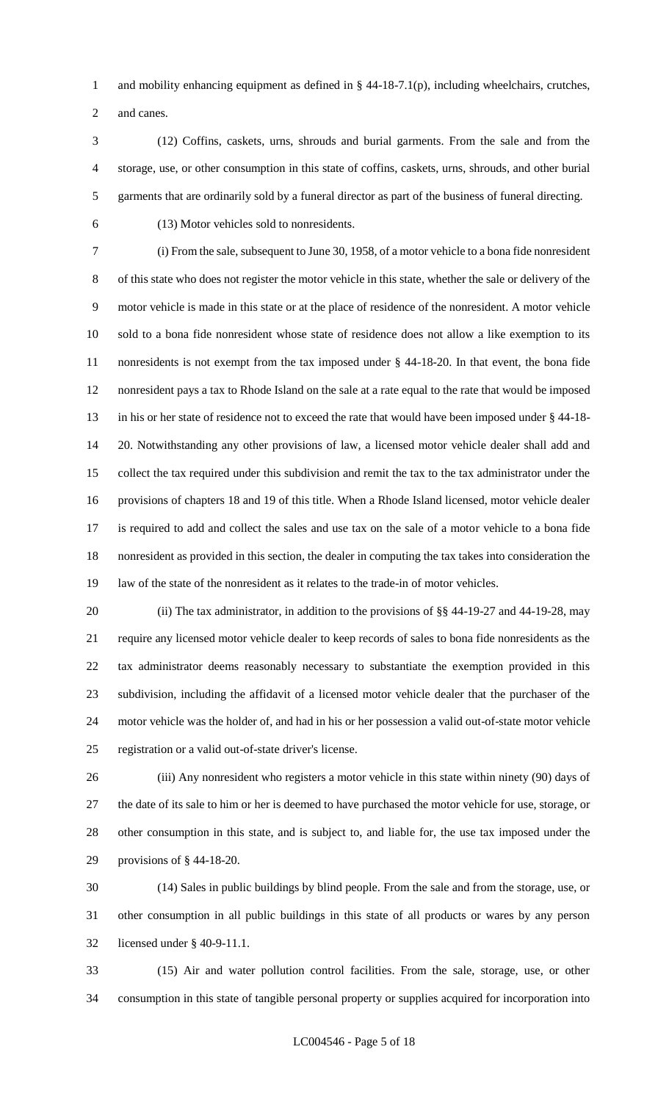and mobility enhancing equipment as defined in § 44-18-7.1(p), including wheelchairs, crutches, and canes.

 (12) Coffins, caskets, urns, shrouds and burial garments. From the sale and from the storage, use, or other consumption in this state of coffins, caskets, urns, shrouds, and other burial garments that are ordinarily sold by a funeral director as part of the business of funeral directing.

(13) Motor vehicles sold to nonresidents.

 (i) From the sale, subsequent to June 30, 1958, of a motor vehicle to a bona fide nonresident of this state who does not register the motor vehicle in this state, whether the sale or delivery of the motor vehicle is made in this state or at the place of residence of the nonresident. A motor vehicle sold to a bona fide nonresident whose state of residence does not allow a like exemption to its nonresidents is not exempt from the tax imposed under § 44-18-20. In that event, the bona fide nonresident pays a tax to Rhode Island on the sale at a rate equal to the rate that would be imposed in his or her state of residence not to exceed the rate that would have been imposed under § 44-18- 20. Notwithstanding any other provisions of law, a licensed motor vehicle dealer shall add and collect the tax required under this subdivision and remit the tax to the tax administrator under the provisions of chapters 18 and 19 of this title. When a Rhode Island licensed, motor vehicle dealer is required to add and collect the sales and use tax on the sale of a motor vehicle to a bona fide nonresident as provided in this section, the dealer in computing the tax takes into consideration the law of the state of the nonresident as it relates to the trade-in of motor vehicles.

20 (ii) The tax administrator, in addition to the provisions of §§ 44-19-27 and 44-19-28, may require any licensed motor vehicle dealer to keep records of sales to bona fide nonresidents as the tax administrator deems reasonably necessary to substantiate the exemption provided in this subdivision, including the affidavit of a licensed motor vehicle dealer that the purchaser of the motor vehicle was the holder of, and had in his or her possession a valid out-of-state motor vehicle registration or a valid out-of-state driver's license.

 (iii) Any nonresident who registers a motor vehicle in this state within ninety (90) days of the date of its sale to him or her is deemed to have purchased the motor vehicle for use, storage, or other consumption in this state, and is subject to, and liable for, the use tax imposed under the provisions of § 44-18-20.

 (14) Sales in public buildings by blind people. From the sale and from the storage, use, or other consumption in all public buildings in this state of all products or wares by any person licensed under § 40-9-11.1.

 (15) Air and water pollution control facilities. From the sale, storage, use, or other consumption in this state of tangible personal property or supplies acquired for incorporation into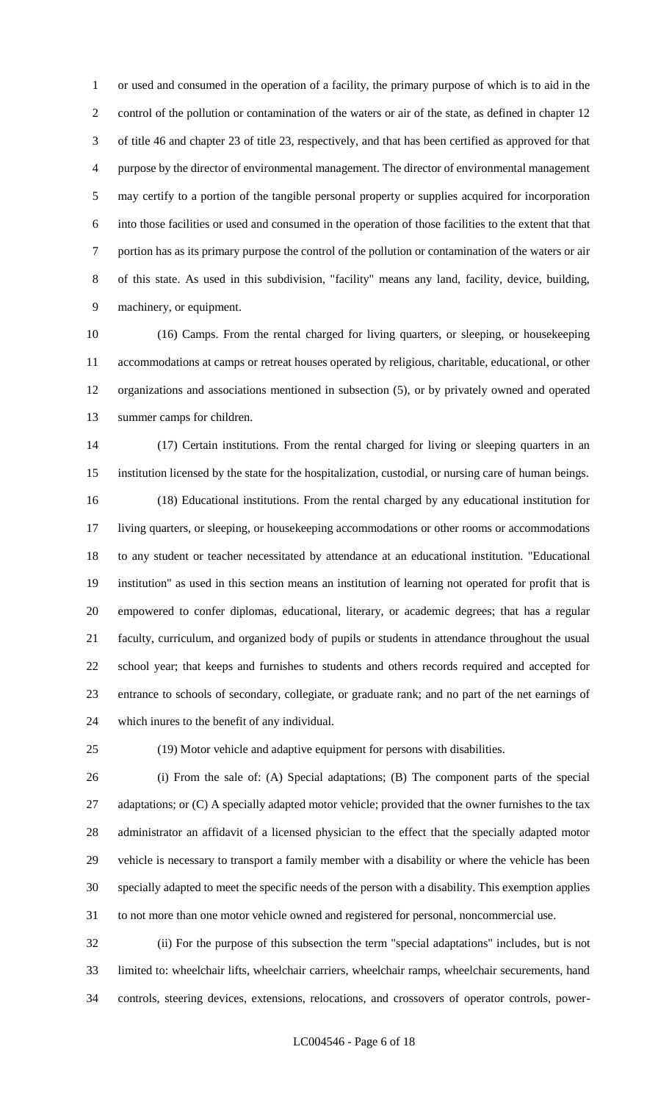or used and consumed in the operation of a facility, the primary purpose of which is to aid in the control of the pollution or contamination of the waters or air of the state, as defined in chapter 12 of title 46 and chapter 23 of title 23, respectively, and that has been certified as approved for that purpose by the director of environmental management. The director of environmental management may certify to a portion of the tangible personal property or supplies acquired for incorporation into those facilities or used and consumed in the operation of those facilities to the extent that that portion has as its primary purpose the control of the pollution or contamination of the waters or air of this state. As used in this subdivision, "facility" means any land, facility, device, building, machinery, or equipment.

 (16) Camps. From the rental charged for living quarters, or sleeping, or housekeeping accommodations at camps or retreat houses operated by religious, charitable, educational, or other organizations and associations mentioned in subsection (5), or by privately owned and operated summer camps for children.

 (17) Certain institutions. From the rental charged for living or sleeping quarters in an institution licensed by the state for the hospitalization, custodial, or nursing care of human beings. (18) Educational institutions. From the rental charged by any educational institution for living quarters, or sleeping, or housekeeping accommodations or other rooms or accommodations to any student or teacher necessitated by attendance at an educational institution. "Educational institution" as used in this section means an institution of learning not operated for profit that is empowered to confer diplomas, educational, literary, or academic degrees; that has a regular faculty, curriculum, and organized body of pupils or students in attendance throughout the usual school year; that keeps and furnishes to students and others records required and accepted for entrance to schools of secondary, collegiate, or graduate rank; and no part of the net earnings of which inures to the benefit of any individual.

(19) Motor vehicle and adaptive equipment for persons with disabilities.

 (i) From the sale of: (A) Special adaptations; (B) The component parts of the special 27 adaptations; or (C) A specially adapted motor vehicle; provided that the owner furnishes to the tax administrator an affidavit of a licensed physician to the effect that the specially adapted motor vehicle is necessary to transport a family member with a disability or where the vehicle has been specially adapted to meet the specific needs of the person with a disability. This exemption applies to not more than one motor vehicle owned and registered for personal, noncommercial use.

 (ii) For the purpose of this subsection the term "special adaptations" includes, but is not limited to: wheelchair lifts, wheelchair carriers, wheelchair ramps, wheelchair securements, hand controls, steering devices, extensions, relocations, and crossovers of operator controls, power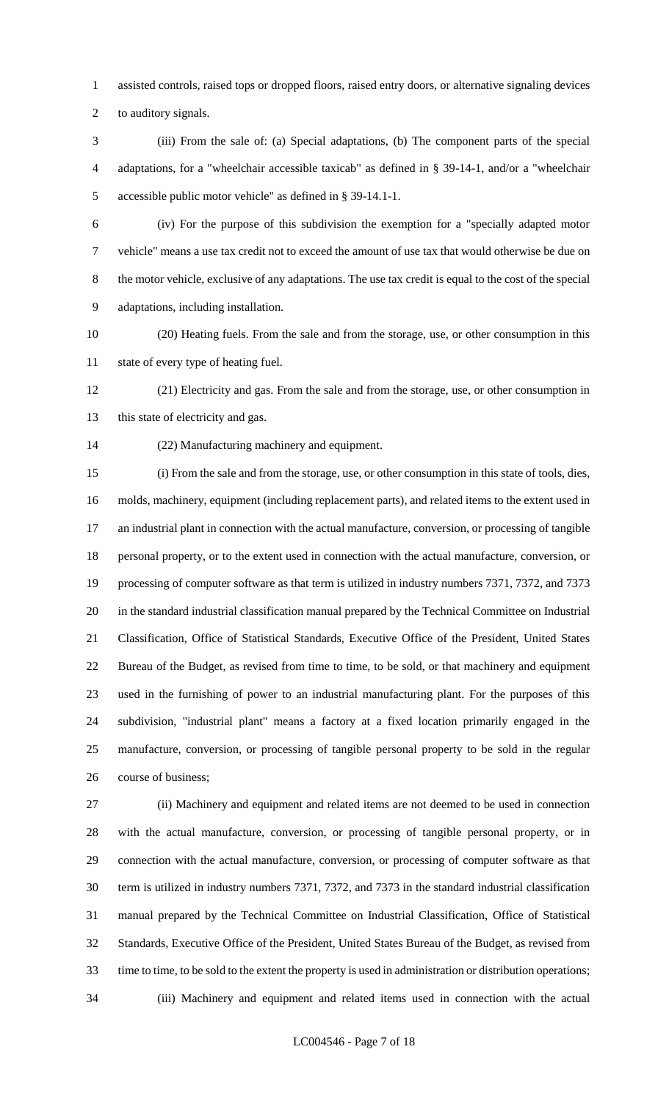assisted controls, raised tops or dropped floors, raised entry doors, or alternative signaling devices

to auditory signals.

 (iii) From the sale of: (a) Special adaptations, (b) The component parts of the special adaptations, for a "wheelchair accessible taxicab" as defined in § 39-14-1, and/or a "wheelchair accessible public motor vehicle" as defined in § 39-14.1-1.

 (iv) For the purpose of this subdivision the exemption for a "specially adapted motor vehicle" means a use tax credit not to exceed the amount of use tax that would otherwise be due on the motor vehicle, exclusive of any adaptations. The use tax credit is equal to the cost of the special adaptations, including installation.

 (20) Heating fuels. From the sale and from the storage, use, or other consumption in this state of every type of heating fuel.

 (21) Electricity and gas. From the sale and from the storage, use, or other consumption in 13 this state of electricity and gas.

(22) Manufacturing machinery and equipment.

 (i) From the sale and from the storage, use, or other consumption in this state of tools, dies, molds, machinery, equipment (including replacement parts), and related items to the extent used in an industrial plant in connection with the actual manufacture, conversion, or processing of tangible personal property, or to the extent used in connection with the actual manufacture, conversion, or processing of computer software as that term is utilized in industry numbers 7371, 7372, and 7373 in the standard industrial classification manual prepared by the Technical Committee on Industrial Classification, Office of Statistical Standards, Executive Office of the President, United States Bureau of the Budget, as revised from time to time, to be sold, or that machinery and equipment used in the furnishing of power to an industrial manufacturing plant. For the purposes of this subdivision, "industrial plant" means a factory at a fixed location primarily engaged in the manufacture, conversion, or processing of tangible personal property to be sold in the regular course of business;

 (ii) Machinery and equipment and related items are not deemed to be used in connection with the actual manufacture, conversion, or processing of tangible personal property, or in connection with the actual manufacture, conversion, or processing of computer software as that term is utilized in industry numbers 7371, 7372, and 7373 in the standard industrial classification manual prepared by the Technical Committee on Industrial Classification, Office of Statistical Standards, Executive Office of the President, United States Bureau of the Budget, as revised from time to time, to be sold to the extent the property is used in administration or distribution operations; (iii) Machinery and equipment and related items used in connection with the actual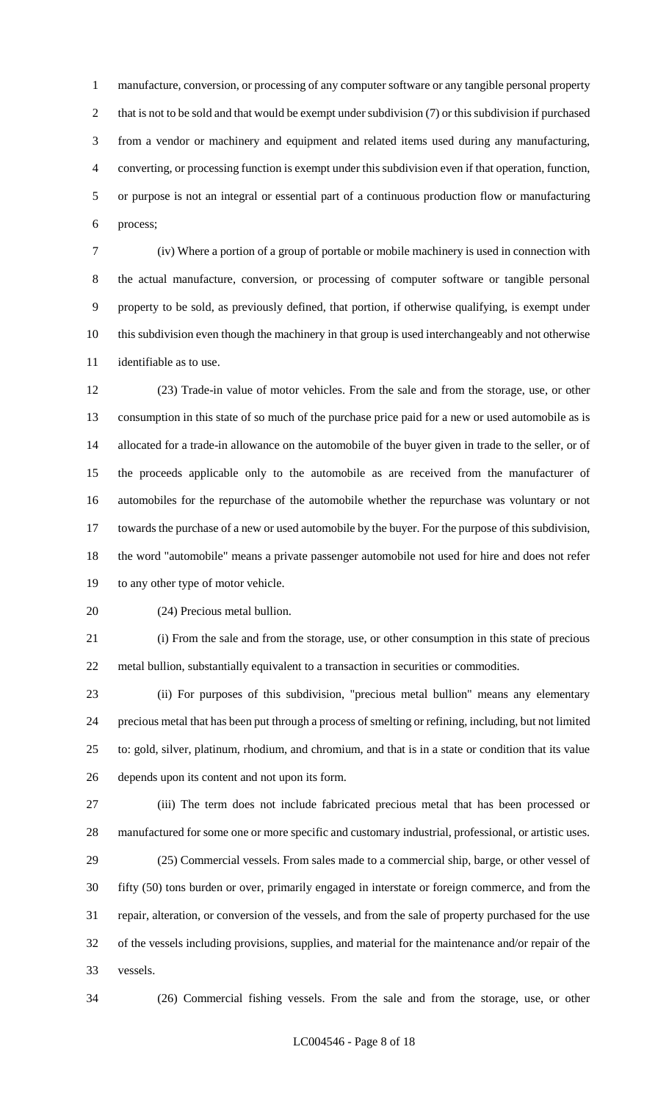manufacture, conversion, or processing of any computer software or any tangible personal property 2 that is not to be sold and that would be exempt under subdivision (7) or this subdivision if purchased from a vendor or machinery and equipment and related items used during any manufacturing, converting, or processing function is exempt under this subdivision even if that operation, function, or purpose is not an integral or essential part of a continuous production flow or manufacturing process;

 (iv) Where a portion of a group of portable or mobile machinery is used in connection with the actual manufacture, conversion, or processing of computer software or tangible personal property to be sold, as previously defined, that portion, if otherwise qualifying, is exempt under this subdivision even though the machinery in that group is used interchangeably and not otherwise identifiable as to use.

 (23) Trade-in value of motor vehicles. From the sale and from the storage, use, or other consumption in this state of so much of the purchase price paid for a new or used automobile as is allocated for a trade-in allowance on the automobile of the buyer given in trade to the seller, or of the proceeds applicable only to the automobile as are received from the manufacturer of automobiles for the repurchase of the automobile whether the repurchase was voluntary or not towards the purchase of a new or used automobile by the buyer. For the purpose of this subdivision, the word "automobile" means a private passenger automobile not used for hire and does not refer to any other type of motor vehicle.

(24) Precious metal bullion.

 (i) From the sale and from the storage, use, or other consumption in this state of precious metal bullion, substantially equivalent to a transaction in securities or commodities.

 (ii) For purposes of this subdivision, "precious metal bullion" means any elementary precious metal that has been put through a process of smelting or refining, including, but not limited to: gold, silver, platinum, rhodium, and chromium, and that is in a state or condition that its value depends upon its content and not upon its form.

 (iii) The term does not include fabricated precious metal that has been processed or manufactured for some one or more specific and customary industrial, professional, or artistic uses. (25) Commercial vessels. From sales made to a commercial ship, barge, or other vessel of

 fifty (50) tons burden or over, primarily engaged in interstate or foreign commerce, and from the repair, alteration, or conversion of the vessels, and from the sale of property purchased for the use of the vessels including provisions, supplies, and material for the maintenance and/or repair of the vessels.

(26) Commercial fishing vessels. From the sale and from the storage, use, or other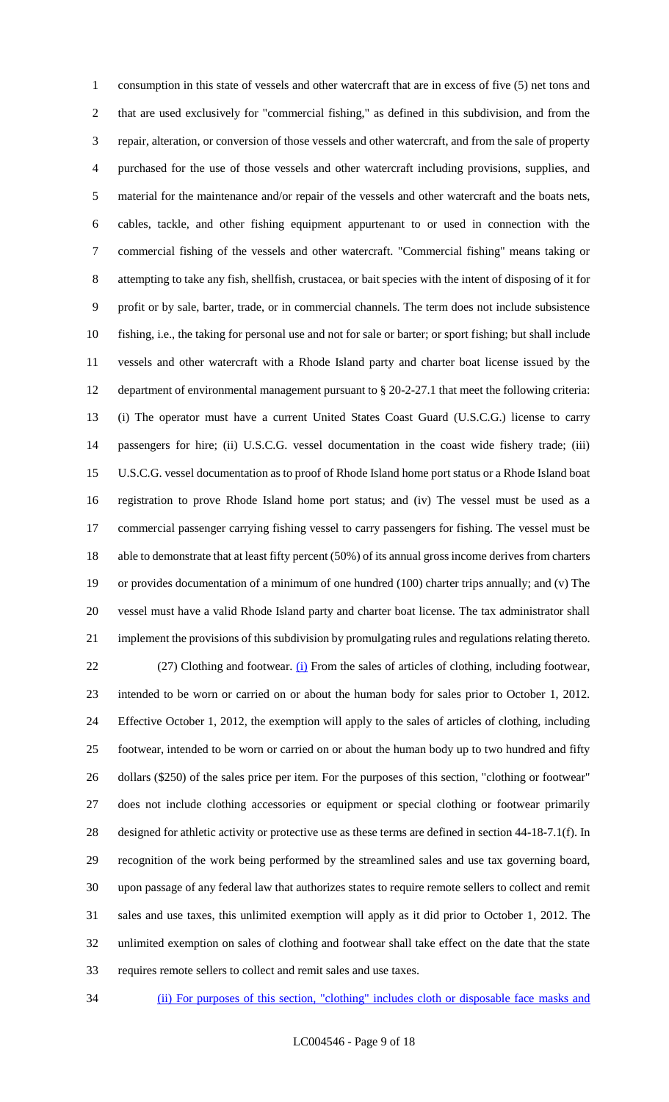consumption in this state of vessels and other watercraft that are in excess of five (5) net tons and that are used exclusively for "commercial fishing," as defined in this subdivision, and from the repair, alteration, or conversion of those vessels and other watercraft, and from the sale of property purchased for the use of those vessels and other watercraft including provisions, supplies, and material for the maintenance and/or repair of the vessels and other watercraft and the boats nets, cables, tackle, and other fishing equipment appurtenant to or used in connection with the commercial fishing of the vessels and other watercraft. "Commercial fishing" means taking or attempting to take any fish, shellfish, crustacea, or bait species with the intent of disposing of it for profit or by sale, barter, trade, or in commercial channels. The term does not include subsistence fishing, i.e., the taking for personal use and not for sale or barter; or sport fishing; but shall include vessels and other watercraft with a Rhode Island party and charter boat license issued by the department of environmental management pursuant to § 20-2-27.1 that meet the following criteria: (i) The operator must have a current United States Coast Guard (U.S.C.G.) license to carry passengers for hire; (ii) U.S.C.G. vessel documentation in the coast wide fishery trade; (iii) U.S.C.G. vessel documentation as to proof of Rhode Island home port status or a Rhode Island boat registration to prove Rhode Island home port status; and (iv) The vessel must be used as a commercial passenger carrying fishing vessel to carry passengers for fishing. The vessel must be able to demonstrate that at least fifty percent (50%) of its annual gross income derives from charters or provides documentation of a minimum of one hundred (100) charter trips annually; and (v) The vessel must have a valid Rhode Island party and charter boat license. The tax administrator shall implement the provisions of this subdivision by promulgating rules and regulations relating thereto. 22 (27) Clothing and footwear. (i) From the sales of articles of clothing, including footwear, intended to be worn or carried on or about the human body for sales prior to October 1, 2012. Effective October 1, 2012, the exemption will apply to the sales of articles of clothing, including footwear, intended to be worn or carried on or about the human body up to two hundred and fifty dollars (\$250) of the sales price per item. For the purposes of this section, "clothing or footwear" does not include clothing accessories or equipment or special clothing or footwear primarily designed for athletic activity or protective use as these terms are defined in section 44-18-7.1(f). In recognition of the work being performed by the streamlined sales and use tax governing board, upon passage of any federal law that authorizes states to require remote sellers to collect and remit sales and use taxes, this unlimited exemption will apply as it did prior to October 1, 2012. The unlimited exemption on sales of clothing and footwear shall take effect on the date that the state requires remote sellers to collect and remit sales and use taxes.

(ii) For purposes of this section, "clothing" includes cloth or disposable face masks and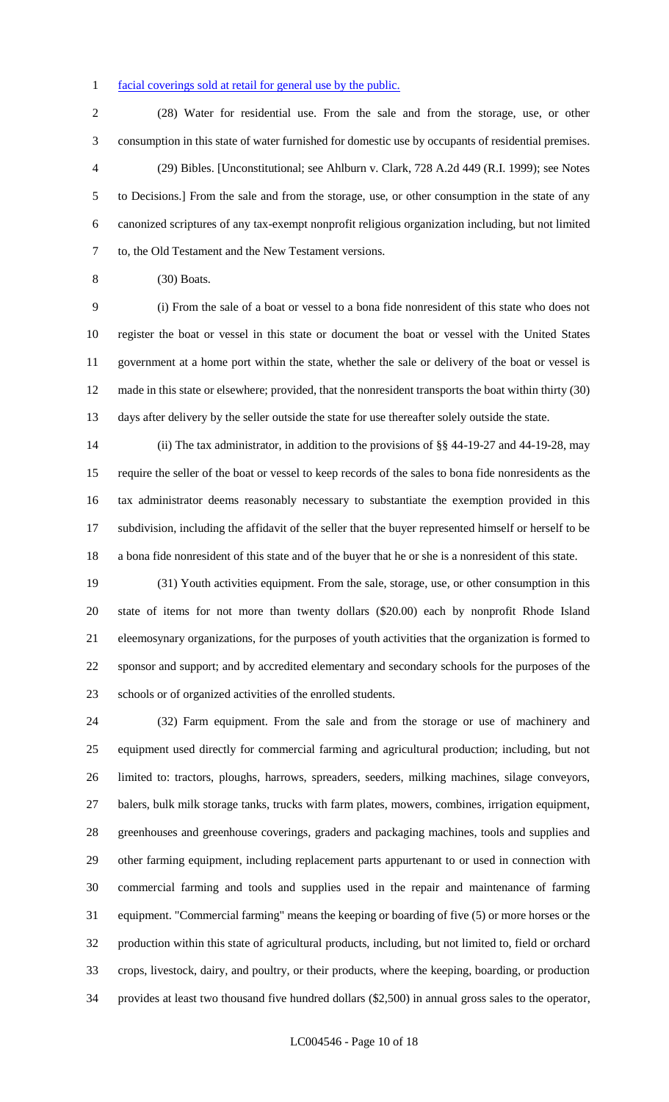#### 1 facial coverings sold at retail for general use by the public.

 (28) Water for residential use. From the sale and from the storage, use, or other consumption in this state of water furnished for domestic use by occupants of residential premises. (29) Bibles. [Unconstitutional; see Ahlburn v. Clark, 728 A.2d 449 (R.I. 1999); see Notes to Decisions.] From the sale and from the storage, use, or other consumption in the state of any canonized scriptures of any tax-exempt nonprofit religious organization including, but not limited to, the Old Testament and the New Testament versions.

(30) Boats.

 (i) From the sale of a boat or vessel to a bona fide nonresident of this state who does not register the boat or vessel in this state or document the boat or vessel with the United States government at a home port within the state, whether the sale or delivery of the boat or vessel is made in this state or elsewhere; provided, that the nonresident transports the boat within thirty (30) days after delivery by the seller outside the state for use thereafter solely outside the state.

 (ii) The tax administrator, in addition to the provisions of §§ 44-19-27 and 44-19-28, may require the seller of the boat or vessel to keep records of the sales to bona fide nonresidents as the tax administrator deems reasonably necessary to substantiate the exemption provided in this subdivision, including the affidavit of the seller that the buyer represented himself or herself to be a bona fide nonresident of this state and of the buyer that he or she is a nonresident of this state.

 (31) Youth activities equipment. From the sale, storage, use, or other consumption in this state of items for not more than twenty dollars (\$20.00) each by nonprofit Rhode Island eleemosynary organizations, for the purposes of youth activities that the organization is formed to sponsor and support; and by accredited elementary and secondary schools for the purposes of the schools or of organized activities of the enrolled students.

 (32) Farm equipment. From the sale and from the storage or use of machinery and equipment used directly for commercial farming and agricultural production; including, but not limited to: tractors, ploughs, harrows, spreaders, seeders, milking machines, silage conveyors, balers, bulk milk storage tanks, trucks with farm plates, mowers, combines, irrigation equipment, greenhouses and greenhouse coverings, graders and packaging machines, tools and supplies and other farming equipment, including replacement parts appurtenant to or used in connection with commercial farming and tools and supplies used in the repair and maintenance of farming equipment. "Commercial farming" means the keeping or boarding of five (5) or more horses or the production within this state of agricultural products, including, but not limited to, field or orchard crops, livestock, dairy, and poultry, or their products, where the keeping, boarding, or production provides at least two thousand five hundred dollars (\$2,500) in annual gross sales to the operator,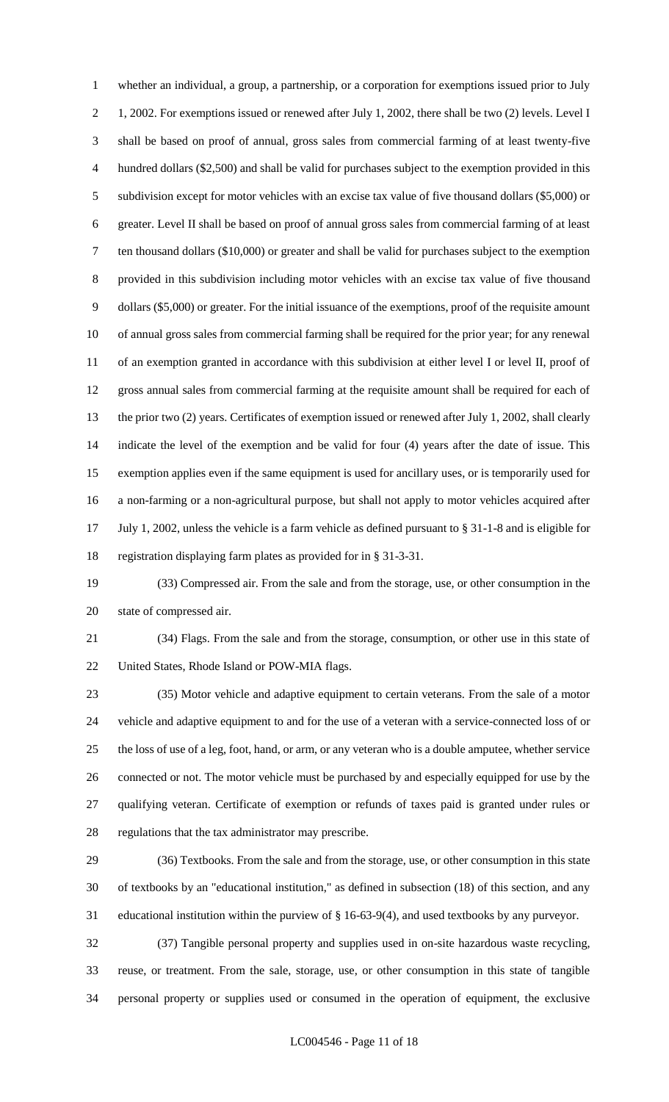whether an individual, a group, a partnership, or a corporation for exemptions issued prior to July 1, 2002. For exemptions issued or renewed after July 1, 2002, there shall be two (2) levels. Level I shall be based on proof of annual, gross sales from commercial farming of at least twenty-five hundred dollars (\$2,500) and shall be valid for purchases subject to the exemption provided in this subdivision except for motor vehicles with an excise tax value of five thousand dollars (\$5,000) or greater. Level II shall be based on proof of annual gross sales from commercial farming of at least ten thousand dollars (\$10,000) or greater and shall be valid for purchases subject to the exemption provided in this subdivision including motor vehicles with an excise tax value of five thousand dollars (\$5,000) or greater. For the initial issuance of the exemptions, proof of the requisite amount of annual gross sales from commercial farming shall be required for the prior year; for any renewal of an exemption granted in accordance with this subdivision at either level I or level II, proof of gross annual sales from commercial farming at the requisite amount shall be required for each of the prior two (2) years. Certificates of exemption issued or renewed after July 1, 2002, shall clearly indicate the level of the exemption and be valid for four (4) years after the date of issue. This exemption applies even if the same equipment is used for ancillary uses, or is temporarily used for a non-farming or a non-agricultural purpose, but shall not apply to motor vehicles acquired after July 1, 2002, unless the vehicle is a farm vehicle as defined pursuant to § 31-1-8 and is eligible for registration displaying farm plates as provided for in § 31-3-31.

 (33) Compressed air. From the sale and from the storage, use, or other consumption in the state of compressed air.

 (34) Flags. From the sale and from the storage, consumption, or other use in this state of United States, Rhode Island or POW-MIA flags.

 (35) Motor vehicle and adaptive equipment to certain veterans. From the sale of a motor vehicle and adaptive equipment to and for the use of a veteran with a service-connected loss of or the loss of use of a leg, foot, hand, or arm, or any veteran who is a double amputee, whether service connected or not. The motor vehicle must be purchased by and especially equipped for use by the qualifying veteran. Certificate of exemption or refunds of taxes paid is granted under rules or regulations that the tax administrator may prescribe.

 (36) Textbooks. From the sale and from the storage, use, or other consumption in this state of textbooks by an "educational institution," as defined in subsection (18) of this section, and any educational institution within the purview of § 16-63-9(4), and used textbooks by any purveyor.

 (37) Tangible personal property and supplies used in on-site hazardous waste recycling, reuse, or treatment. From the sale, storage, use, or other consumption in this state of tangible personal property or supplies used or consumed in the operation of equipment, the exclusive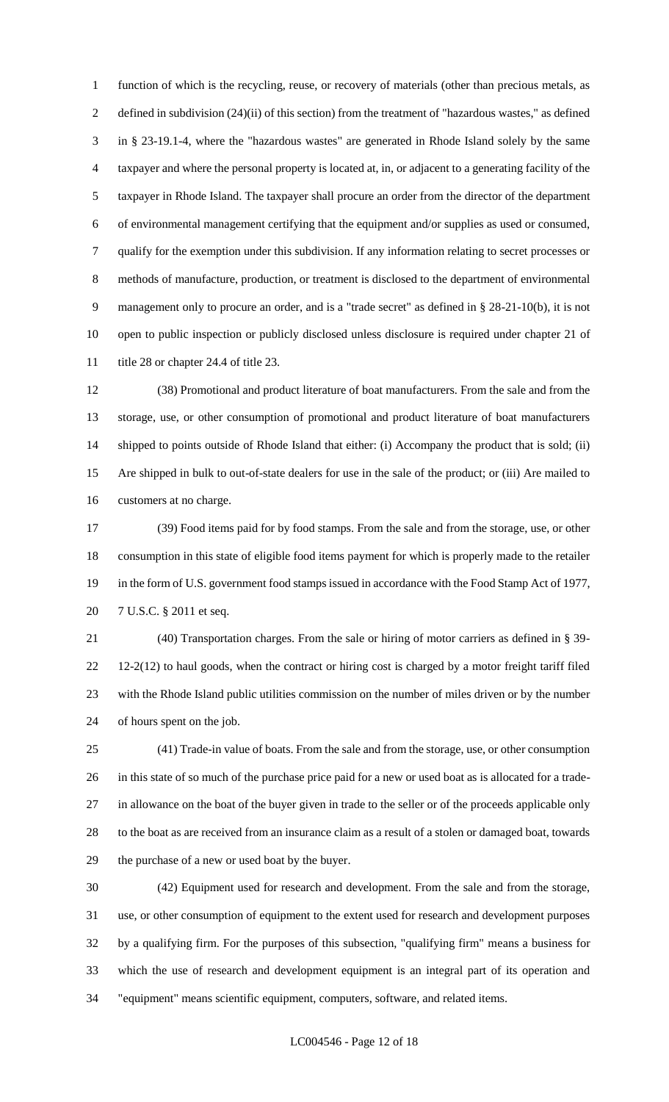function of which is the recycling, reuse, or recovery of materials (other than precious metals, as defined in subdivision (24)(ii) of this section) from the treatment of "hazardous wastes," as defined in § 23-19.1-4, where the "hazardous wastes" are generated in Rhode Island solely by the same taxpayer and where the personal property is located at, in, or adjacent to a generating facility of the taxpayer in Rhode Island. The taxpayer shall procure an order from the director of the department of environmental management certifying that the equipment and/or supplies as used or consumed, qualify for the exemption under this subdivision. If any information relating to secret processes or methods of manufacture, production, or treatment is disclosed to the department of environmental management only to procure an order, and is a "trade secret" as defined in § 28-21-10(b), it is not open to public inspection or publicly disclosed unless disclosure is required under chapter 21 of 11 title 28 or chapter 24.4 of title 23.

 (38) Promotional and product literature of boat manufacturers. From the sale and from the storage, use, or other consumption of promotional and product literature of boat manufacturers shipped to points outside of Rhode Island that either: (i) Accompany the product that is sold; (ii) Are shipped in bulk to out-of-state dealers for use in the sale of the product; or (iii) Are mailed to customers at no charge.

 (39) Food items paid for by food stamps. From the sale and from the storage, use, or other consumption in this state of eligible food items payment for which is properly made to the retailer in the form of U.S. government food stamps issued in accordance with the Food Stamp Act of 1977, 7 U.S.C. § 2011 et seq.

 (40) Transportation charges. From the sale or hiring of motor carriers as defined in § 39- 12-2(12) to haul goods, when the contract or hiring cost is charged by a motor freight tariff filed with the Rhode Island public utilities commission on the number of miles driven or by the number of hours spent on the job.

 (41) Trade-in value of boats. From the sale and from the storage, use, or other consumption in this state of so much of the purchase price paid for a new or used boat as is allocated for a trade- in allowance on the boat of the buyer given in trade to the seller or of the proceeds applicable only to the boat as are received from an insurance claim as a result of a stolen or damaged boat, towards the purchase of a new or used boat by the buyer.

 (42) Equipment used for research and development. From the sale and from the storage, use, or other consumption of equipment to the extent used for research and development purposes by a qualifying firm. For the purposes of this subsection, "qualifying firm" means a business for which the use of research and development equipment is an integral part of its operation and "equipment" means scientific equipment, computers, software, and related items.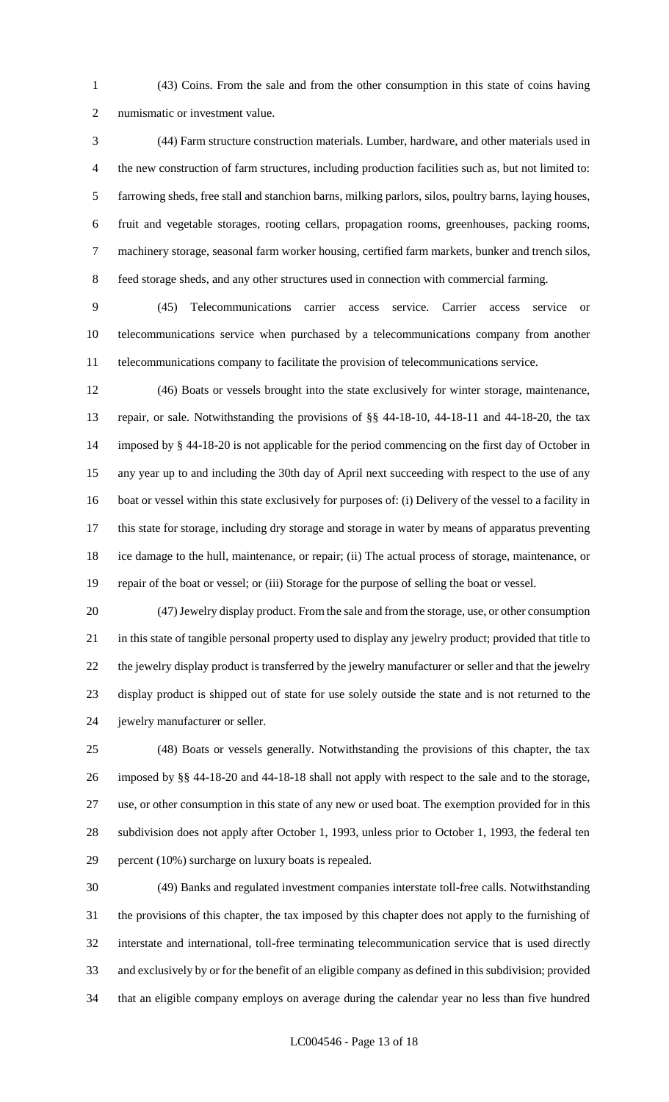(43) Coins. From the sale and from the other consumption in this state of coins having numismatic or investment value.

 (44) Farm structure construction materials. Lumber, hardware, and other materials used in the new construction of farm structures, including production facilities such as, but not limited to: farrowing sheds, free stall and stanchion barns, milking parlors, silos, poultry barns, laying houses, fruit and vegetable storages, rooting cellars, propagation rooms, greenhouses, packing rooms, machinery storage, seasonal farm worker housing, certified farm markets, bunker and trench silos, feed storage sheds, and any other structures used in connection with commercial farming.

 (45) Telecommunications carrier access service. Carrier access service or telecommunications service when purchased by a telecommunications company from another telecommunications company to facilitate the provision of telecommunications service.

 (46) Boats or vessels brought into the state exclusively for winter storage, maintenance, repair, or sale. Notwithstanding the provisions of §§ 44-18-10, 44-18-11 and 44-18-20, the tax imposed by § 44-18-20 is not applicable for the period commencing on the first day of October in any year up to and including the 30th day of April next succeeding with respect to the use of any boat or vessel within this state exclusively for purposes of: (i) Delivery of the vessel to a facility in this state for storage, including dry storage and storage in water by means of apparatus preventing ice damage to the hull, maintenance, or repair; (ii) The actual process of storage, maintenance, or repair of the boat or vessel; or (iii) Storage for the purpose of selling the boat or vessel.

 (47) Jewelry display product. From the sale and from the storage, use, or other consumption in this state of tangible personal property used to display any jewelry product; provided that title to the jewelry display product is transferred by the jewelry manufacturer or seller and that the jewelry display product is shipped out of state for use solely outside the state and is not returned to the jewelry manufacturer or seller.

 (48) Boats or vessels generally. Notwithstanding the provisions of this chapter, the tax imposed by §§ 44-18-20 and 44-18-18 shall not apply with respect to the sale and to the storage, use, or other consumption in this state of any new or used boat. The exemption provided for in this subdivision does not apply after October 1, 1993, unless prior to October 1, 1993, the federal ten percent (10%) surcharge on luxury boats is repealed.

 (49) Banks and regulated investment companies interstate toll-free calls. Notwithstanding the provisions of this chapter, the tax imposed by this chapter does not apply to the furnishing of interstate and international, toll-free terminating telecommunication service that is used directly and exclusively by or for the benefit of an eligible company as defined in this subdivision; provided that an eligible company employs on average during the calendar year no less than five hundred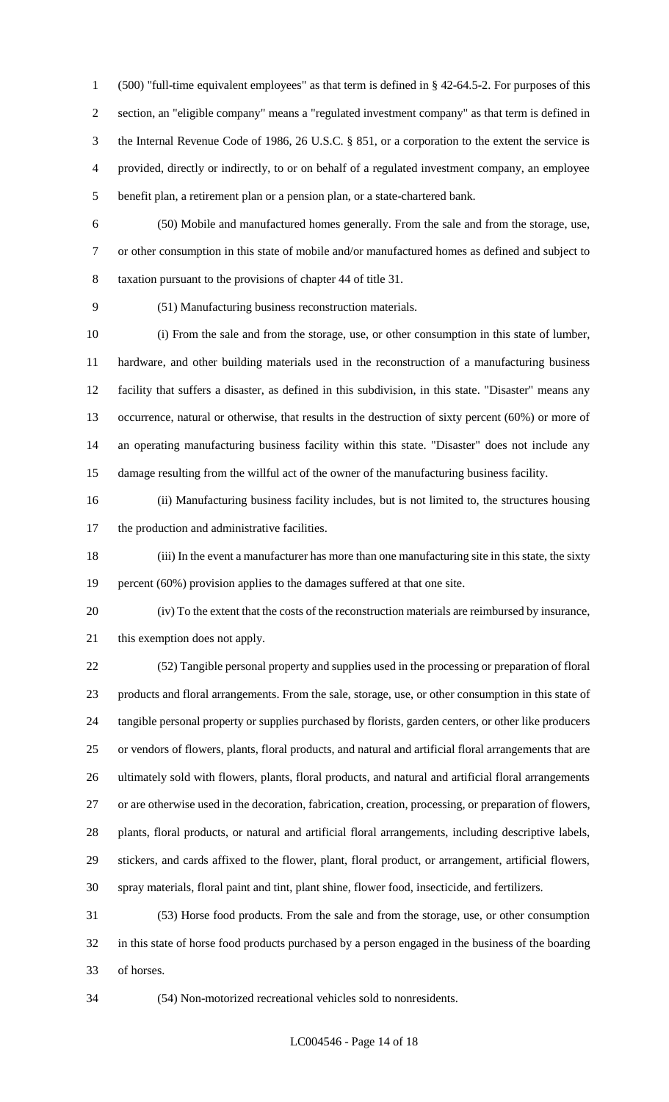(500) "full-time equivalent employees" as that term is defined in § 42-64.5-2. For purposes of this section, an "eligible company" means a "regulated investment company" as that term is defined in the Internal Revenue Code of 1986, 26 U.S.C. § 851, or a corporation to the extent the service is provided, directly or indirectly, to or on behalf of a regulated investment company, an employee benefit plan, a retirement plan or a pension plan, or a state-chartered bank.

 (50) Mobile and manufactured homes generally. From the sale and from the storage, use, or other consumption in this state of mobile and/or manufactured homes as defined and subject to taxation pursuant to the provisions of chapter 44 of title 31.

(51) Manufacturing business reconstruction materials.

 (i) From the sale and from the storage, use, or other consumption in this state of lumber, hardware, and other building materials used in the reconstruction of a manufacturing business facility that suffers a disaster, as defined in this subdivision, in this state. "Disaster" means any occurrence, natural or otherwise, that results in the destruction of sixty percent (60%) or more of an operating manufacturing business facility within this state. "Disaster" does not include any damage resulting from the willful act of the owner of the manufacturing business facility.

 (ii) Manufacturing business facility includes, but is not limited to, the structures housing the production and administrative facilities.

 (iii) In the event a manufacturer has more than one manufacturing site in this state, the sixty 19 percent (60%) provision applies to the damages suffered at that one site.

 (iv) To the extent that the costs of the reconstruction materials are reimbursed by insurance, this exemption does not apply.

 (52) Tangible personal property and supplies used in the processing or preparation of floral products and floral arrangements. From the sale, storage, use, or other consumption in this state of tangible personal property or supplies purchased by florists, garden centers, or other like producers or vendors of flowers, plants, floral products, and natural and artificial floral arrangements that are ultimately sold with flowers, plants, floral products, and natural and artificial floral arrangements or are otherwise used in the decoration, fabrication, creation, processing, or preparation of flowers, plants, floral products, or natural and artificial floral arrangements, including descriptive labels, stickers, and cards affixed to the flower, plant, floral product, or arrangement, artificial flowers, spray materials, floral paint and tint, plant shine, flower food, insecticide, and fertilizers.

 (53) Horse food products. From the sale and from the storage, use, or other consumption in this state of horse food products purchased by a person engaged in the business of the boarding of horses.

(54) Non-motorized recreational vehicles sold to nonresidents.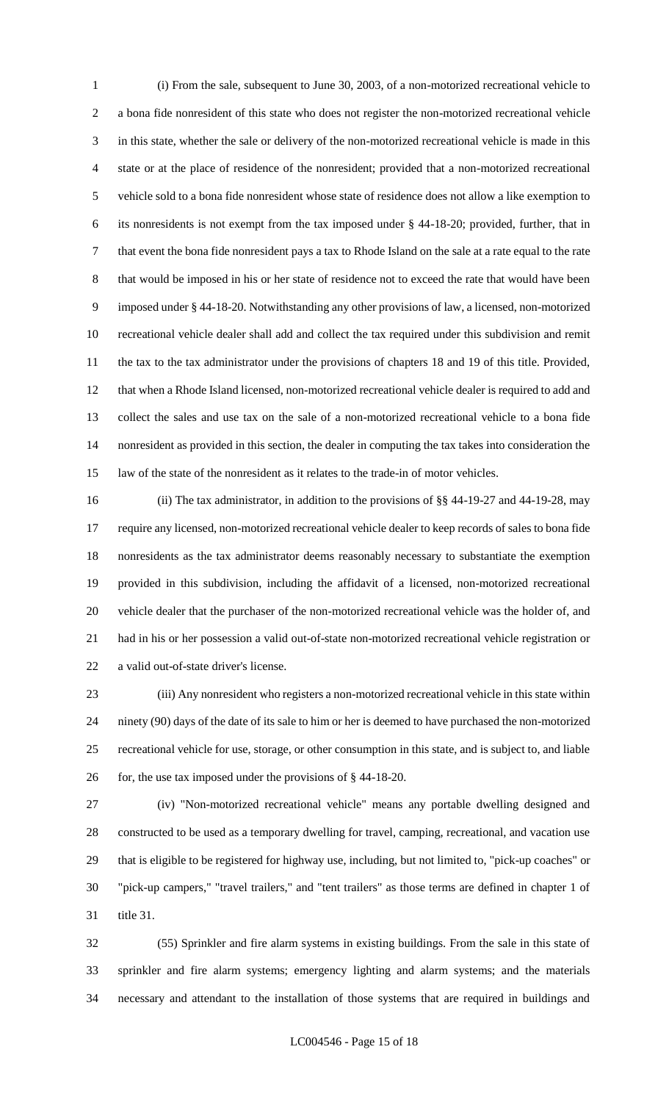(i) From the sale, subsequent to June 30, 2003, of a non-motorized recreational vehicle to a bona fide nonresident of this state who does not register the non-motorized recreational vehicle in this state, whether the sale or delivery of the non-motorized recreational vehicle is made in this state or at the place of residence of the nonresident; provided that a non-motorized recreational vehicle sold to a bona fide nonresident whose state of residence does not allow a like exemption to its nonresidents is not exempt from the tax imposed under § 44-18-20; provided, further, that in that event the bona fide nonresident pays a tax to Rhode Island on the sale at a rate equal to the rate that would be imposed in his or her state of residence not to exceed the rate that would have been imposed under § 44-18-20. Notwithstanding any other provisions of law, a licensed, non-motorized recreational vehicle dealer shall add and collect the tax required under this subdivision and remit the tax to the tax administrator under the provisions of chapters 18 and 19 of this title. Provided, that when a Rhode Island licensed, non-motorized recreational vehicle dealer is required to add and collect the sales and use tax on the sale of a non-motorized recreational vehicle to a bona fide nonresident as provided in this section, the dealer in computing the tax takes into consideration the law of the state of the nonresident as it relates to the trade-in of motor vehicles.

 (ii) The tax administrator, in addition to the provisions of §§ 44-19-27 and 44-19-28, may require any licensed, non-motorized recreational vehicle dealer to keep records of sales to bona fide nonresidents as the tax administrator deems reasonably necessary to substantiate the exemption provided in this subdivision, including the affidavit of a licensed, non-motorized recreational vehicle dealer that the purchaser of the non-motorized recreational vehicle was the holder of, and had in his or her possession a valid out-of-state non-motorized recreational vehicle registration or a valid out-of-state driver's license.

 (iii) Any nonresident who registers a non-motorized recreational vehicle in this state within ninety (90) days of the date of its sale to him or her is deemed to have purchased the non-motorized recreational vehicle for use, storage, or other consumption in this state, and is subject to, and liable 26 for, the use tax imposed under the provisions of § 44-18-20.

 (iv) "Non-motorized recreational vehicle" means any portable dwelling designed and constructed to be used as a temporary dwelling for travel, camping, recreational, and vacation use that is eligible to be registered for highway use, including, but not limited to, "pick-up coaches" or "pick-up campers," "travel trailers," and "tent trailers" as those terms are defined in chapter 1 of title 31.

 (55) Sprinkler and fire alarm systems in existing buildings. From the sale in this state of sprinkler and fire alarm systems; emergency lighting and alarm systems; and the materials necessary and attendant to the installation of those systems that are required in buildings and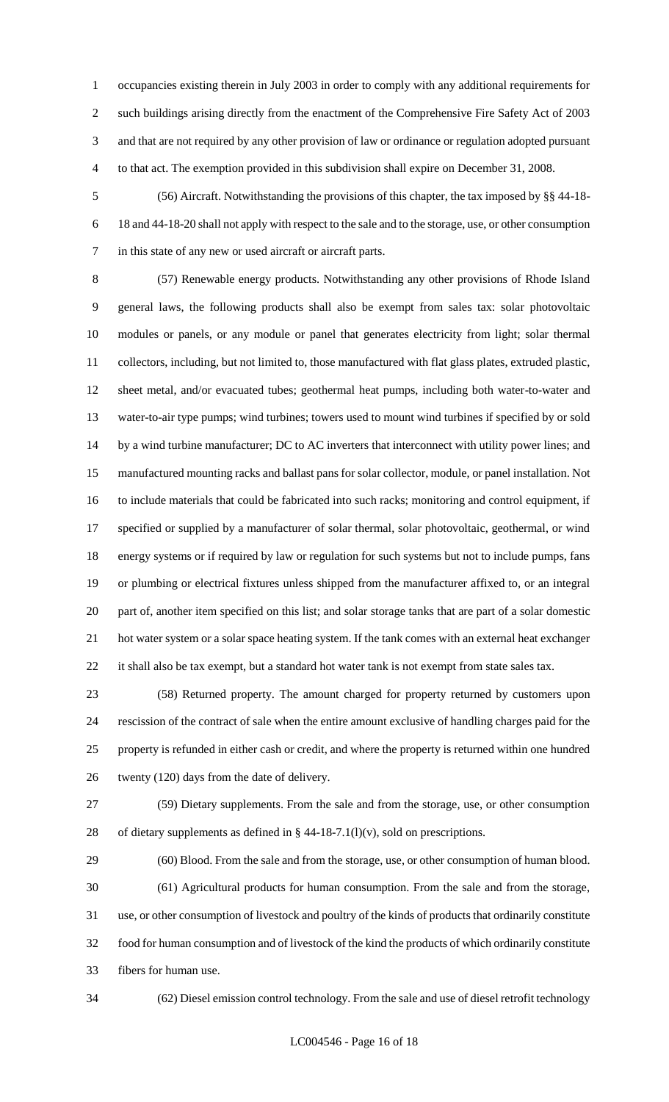occupancies existing therein in July 2003 in order to comply with any additional requirements for such buildings arising directly from the enactment of the Comprehensive Fire Safety Act of 2003 and that are not required by any other provision of law or ordinance or regulation adopted pursuant to that act. The exemption provided in this subdivision shall expire on December 31, 2008.

 (56) Aircraft. Notwithstanding the provisions of this chapter, the tax imposed by §§ 44-18- 18 and 44-18-20 shall not apply with respect to the sale and to the storage, use, or other consumption in this state of any new or used aircraft or aircraft parts.

 (57) Renewable energy products. Notwithstanding any other provisions of Rhode Island general laws, the following products shall also be exempt from sales tax: solar photovoltaic modules or panels, or any module or panel that generates electricity from light; solar thermal collectors, including, but not limited to, those manufactured with flat glass plates, extruded plastic, sheet metal, and/or evacuated tubes; geothermal heat pumps, including both water-to-water and water-to-air type pumps; wind turbines; towers used to mount wind turbines if specified by or sold 14 by a wind turbine manufacturer; DC to AC inverters that interconnect with utility power lines; and manufactured mounting racks and ballast pans for solar collector, module, or panel installation. Not to include materials that could be fabricated into such racks; monitoring and control equipment, if specified or supplied by a manufacturer of solar thermal, solar photovoltaic, geothermal, or wind energy systems or if required by law or regulation for such systems but not to include pumps, fans or plumbing or electrical fixtures unless shipped from the manufacturer affixed to, or an integral part of, another item specified on this list; and solar storage tanks that are part of a solar domestic hot water system or a solar space heating system. If the tank comes with an external heat exchanger 22 it shall also be tax exempt, but a standard hot water tank is not exempt from state sales tax.

 (58) Returned property. The amount charged for property returned by customers upon rescission of the contract of sale when the entire amount exclusive of handling charges paid for the property is refunded in either cash or credit, and where the property is returned within one hundred twenty (120) days from the date of delivery.

 (59) Dietary supplements. From the sale and from the storage, use, or other consumption 28 of dietary supplements as defined in  $\S$  44-18-7.1(l)(v), sold on prescriptions.

 (60) Blood. From the sale and from the storage, use, or other consumption of human blood. (61) Agricultural products for human consumption. From the sale and from the storage, use, or other consumption of livestock and poultry of the kinds of products that ordinarily constitute food for human consumption and of livestock of the kind the products of which ordinarily constitute fibers for human use.

(62) Diesel emission control technology. From the sale and use of diesel retrofit technology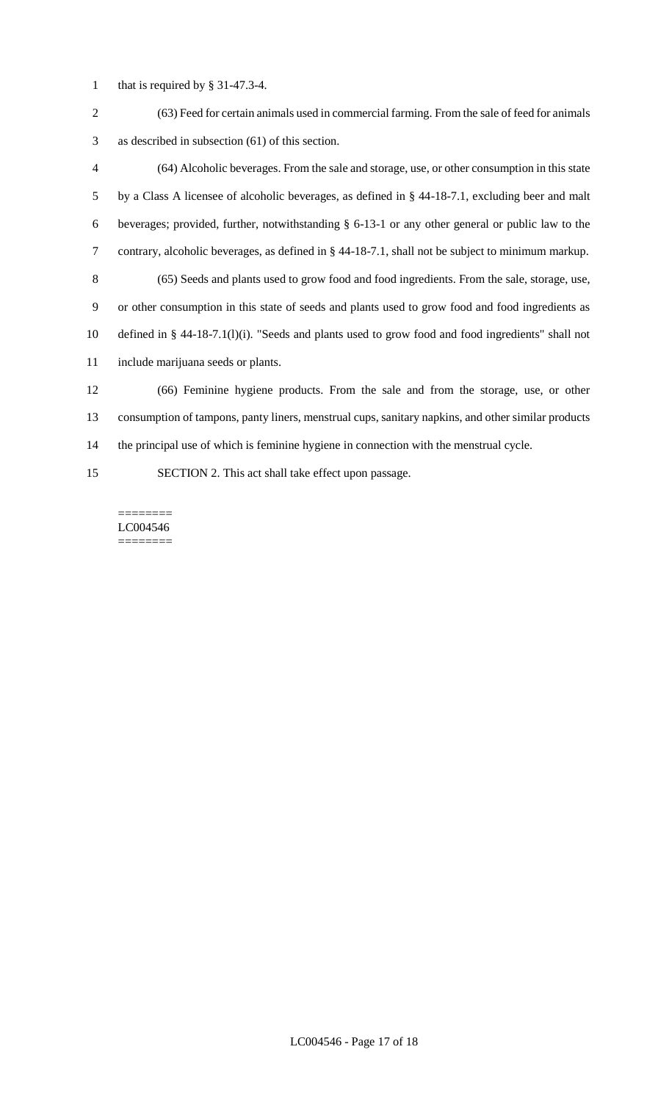- that is required by § 31-47.3-4.
- (63) Feed for certain animals used in commercial farming. From the sale of feed for animals as described in subsection (61) of this section.
- (64) Alcoholic beverages. From the sale and storage, use, or other consumption in this state by a Class A licensee of alcoholic beverages, as defined in § 44-18-7.1, excluding beer and malt beverages; provided, further, notwithstanding § 6-13-1 or any other general or public law to the contrary, alcoholic beverages, as defined in § 44-18-7.1, shall not be subject to minimum markup. (65) Seeds and plants used to grow food and food ingredients. From the sale, storage, use, or other consumption in this state of seeds and plants used to grow food and food ingredients as defined in § 44-18-7.1(l)(i). "Seeds and plants used to grow food and food ingredients" shall not include marijuana seeds or plants. (66) Feminine hygiene products. From the sale and from the storage, use, or other consumption of tampons, panty liners, menstrual cups, sanitary napkins, and other similar products the principal use of which is feminine hygiene in connection with the menstrual cycle.
- SECTION 2. This act shall take effect upon passage.

======== LC004546 ========